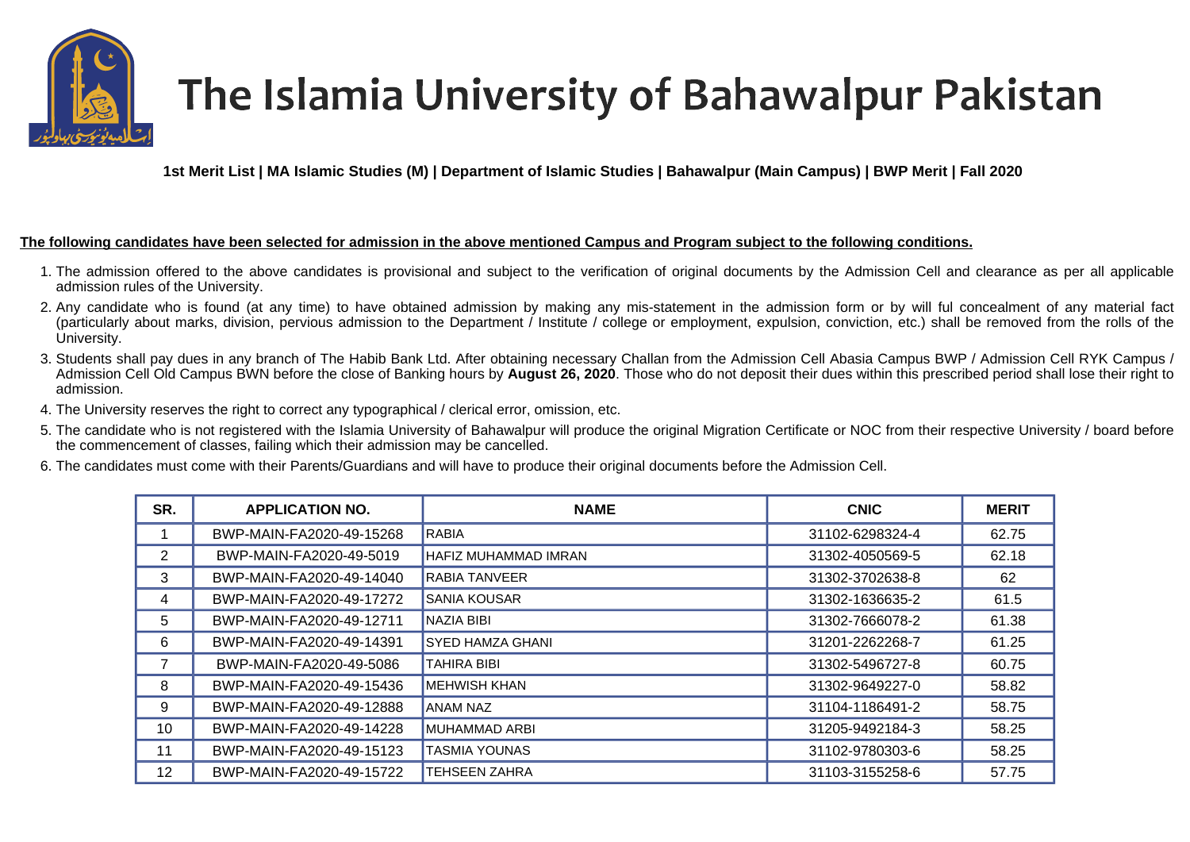

## The Islamia University of Bahawalpur Pakistan

**1st Merit List | MA Islamic Studies (M) | Department of Islamic Studies | Bahawalpur (Main Campus) | BWP Merit | Fall 2020** 

## **The following candidates have been selected for admission in the above mentioned Campus and Program subject to the following conditions.**

- 1. The admission offered to the above candidates is provisional and subject to the verification of original documents by the Admission Cell and clearance as per all applicable admission rules of the University.
- 2. Any candidate who is found (at any time) to have obtained admission by making any mis-statement in the admission form or by will ful concealment of any material fact (particularly about marks, division, pervious admission to the Department / Institute / college or employment, expulsion, conviction, etc.) shall be removed from the rolls of the University.
- 3. Students shall pay dues in any branch of The Habib Bank Ltd. After obtaining necessary Challan from the Admission Cell Abasia Campus BWP / Admission Cell RYK Campus / Admission Cell Old Campus BWN before the close of Banking hours by **August 26, 2020**. Those who do not deposit their dues within this prescribed period shall lose their right to admission.
- 4. The University reserves the right to correct any typographical / clerical error, omission, etc.
- 5. The candidate who is not registered with the Islamia University of Bahawalpur will produce the original Migration Certificate or NOC from their respective University / board before the commencement of classes, failing which their admission may be cancelled.
- 6. The candidates must come with their Parents/Guardians and will have to produce their original documents before the Admission Cell.

| SR. | <b>APPLICATION NO.</b>   | <b>NAME</b>             | <b>CNIC</b>     | <b>MERIT</b> |
|-----|--------------------------|-------------------------|-----------------|--------------|
|     | BWP-MAIN-FA2020-49-15268 | RABIA                   | 31102-6298324-4 | 62.75        |
| 2   | BWP-MAIN-FA2020-49-5019  | HAFIZ MUHAMMAD IMRAN    | 31302-4050569-5 | 62.18        |
| 3   | BWP-MAIN-FA2020-49-14040 | RABIA TANVEER           | 31302-3702638-8 | 62           |
| 4   | BWP-MAIN-FA2020-49-17272 | <b>SANIA KOUSAR</b>     | 31302-1636635-2 | 61.5         |
| 5   | BWP-MAIN-FA2020-49-12711 | <b>NAZIA BIBI</b>       | 31302-7666078-2 | 61.38        |
| 6   | BWP-MAIN-FA2020-49-14391 | <b>SYED HAMZA GHANI</b> | 31201-2262268-7 | 61.25        |
|     | BWP-MAIN-FA2020-49-5086  | <b>TAHIRA BIBI</b>      | 31302-5496727-8 | 60.75        |
| 8   | BWP-MAIN-FA2020-49-15436 | <b>MEHWISH KHAN</b>     | 31302-9649227-0 | 58.82        |
| 9   | BWP-MAIN-FA2020-49-12888 | ANAM NAZ                | 31104-1186491-2 | 58.75        |
| 10  | BWP-MAIN-FA2020-49-14228 | <b>MUHAMMAD ARBI</b>    | 31205-9492184-3 | 58.25        |
| 11  | BWP-MAIN-FA2020-49-15123 | <b>TASMIA YOUNAS</b>    | 31102-9780303-6 | 58.25        |
| 12  | BWP-MAIN-FA2020-49-15722 | <b>TEHSEEN ZAHRA</b>    | 31103-3155258-6 | 57.75        |